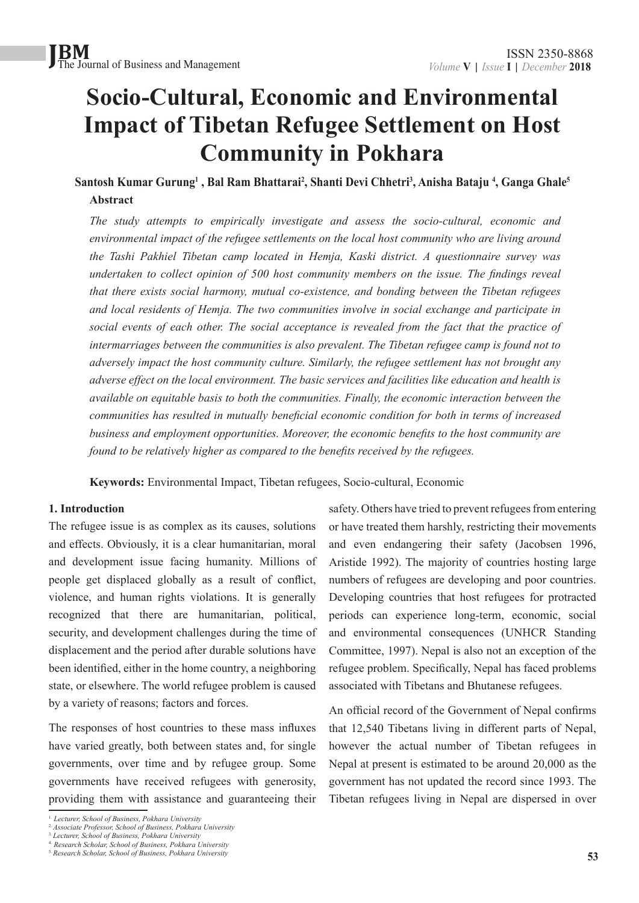### **Socio-Cultural, Economic and Environmental Impact of Tibetan Refugee Settlement on Host Community in Pokhara**

**Santosh Kumar Gurung1 , Bal Ram Bhattarai2 , Shanti Devi Chhetri3 , Anisha Bataju 4 , Ganga Ghale5 Abstract**

*The study attempts to empirically investigate and assess the socio-cultural, economic and environmental impact of the refugee settlements on the local host community who are living around the Tashi Pakhiel Tibetan camp located in Hemja, Kaski district. A questionnaire survey was undertaken to collect opinion of 500 host community members on the issue. The findings reveal that there exists social harmony, mutual co-existence, and bonding between the Tibetan refugees and local residents of Hemja. The two communities involve in social exchange and participate in social events of each other. The social acceptance is revealed from the fact that the practice of intermarriages between the communities is also prevalent. The Tibetan refugee camp is found not to adversely impact the host community culture. Similarly, the refugee settlement has not brought any adverse effect on the local environment. The basic services and facilities like education and health is available on equitable basis to both the communities. Finally, the economic interaction between the communities has resulted in mutually beneficial economic condition for both in terms of increased business and employment opportunities. Moreover, the economic benefits to the host community are found to be relatively higher as compared to the benefits received by the refugees.* 

**Keywords:** Environmental Impact, Tibetan refugees, Socio-cultural, Economic

#### **1. Introduction**

The refugee issue is as complex as its causes, solutions and effects. Obviously, it is a clear humanitarian, moral and development issue facing humanity. Millions of people get displaced globally as a result of conflict, violence, and human rights violations. It is generally recognized that there are humanitarian, political, security, and development challenges during the time of displacement and the period after durable solutions have been identified, either in the home country, a neighboring state, or elsewhere. The world refugee problem is caused by a variety of reasons; factors and forces.

The responses of host countries to these mass influxes have varied greatly, both between states and, for single governments, over time and by refugee group. Some governments have received refugees with generosity, providing them with assistance and guaranteeing their safety. Others have tried to prevent refugees from entering or have treated them harshly, restricting their movements and even endangering their safety (Jacobsen 1996, Aristide 1992). The majority of countries hosting large numbers of refugees are developing and poor countries. Developing countries that host refugees for protracted periods can experience long-term, economic, social and environmental consequences (UNHCR Standing Committee, 1997). Nepal is also not an exception of the refugee problem. Specifically, Nepal has faced problems associated with Tibetans and Bhutanese refugees.

An official record of the Government of Nepal confirms that 12,540 Tibetans living in different parts of Nepal, however the actual number of Tibetan refugees in Nepal at present is estimated to be around 20,000 as the government has not updated the record since 1993. The Tibetan refugees living in Nepal are dispersed in over

<sup>1.</sup> *Lecturer, School of Business, Pokhara University*

<sup>2.</sup> *Associate Professor, School of Business, Pokhara University*

<sup>3.</sup> *Lecturer, School of Business, Pokhara University* 4. *Research Scholar, School of Business, Pokhara University*

<sup>5.</sup> *Research Scholar, School of Business, Pokhara University*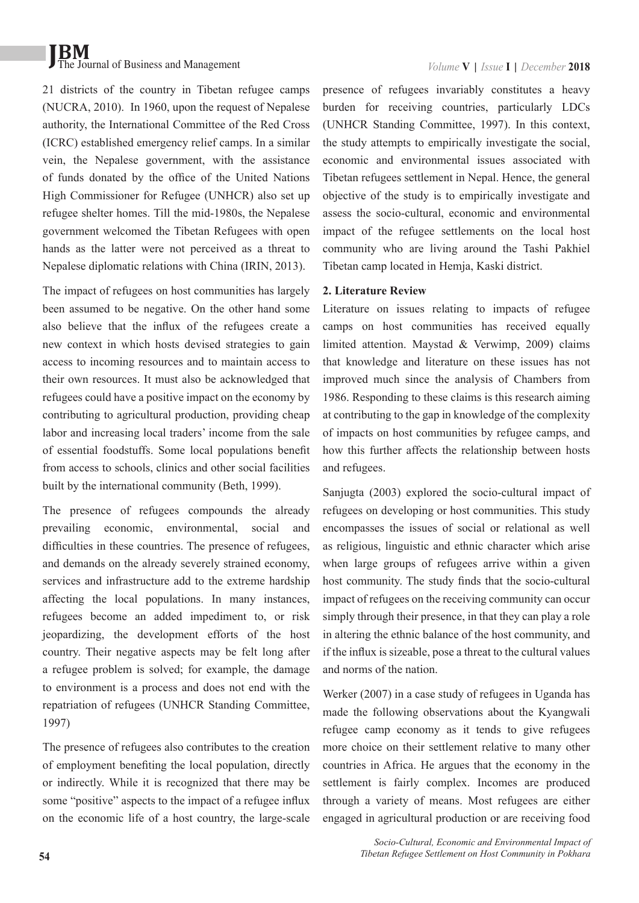21 districts of the country in Tibetan refugee camps (NUCRA, 2010). In 1960, upon the request of Nepalese authority, the International Committee of the Red Cross (ICRC) established emergency relief camps. In a similar vein, the Nepalese government, with the assistance of funds donated by the office of the United Nations High Commissioner for Refugee (UNHCR) also set up refugee shelter homes. Till the mid-1980s, the Nepalese government welcomed the Tibetan Refugees with open hands as the latter were not perceived as a threat to Nepalese diplomatic relations with China (IRIN, 2013).

The impact of refugees on host communities has largely been assumed to be negative. On the other hand some also believe that the influx of the refugees create a new context in which hosts devised strategies to gain access to incoming resources and to maintain access to their own resources. It must also be acknowledged that refugees could have a positive impact on the economy by contributing to agricultural production, providing cheap labor and increasing local traders' income from the sale of essential foodstuffs. Some local populations benefit from access to schools, clinics and other social facilities built by the international community (Beth, 1999).

The presence of refugees compounds the already prevailing economic, environmental, social and difficulties in these countries. The presence of refugees, and demands on the already severely strained economy, services and infrastructure add to the extreme hardship affecting the local populations. In many instances, refugees become an added impediment to, or risk jeopardizing, the development efforts of the host country. Their negative aspects may be felt long after a refugee problem is solved; for example, the damage to environment is a process and does not end with the repatriation of refugees (UNHCR Standing Committee, 1997)

The presence of refugees also contributes to the creation of employment benefiting the local population, directly or indirectly. While it is recognized that there may be some "positive" aspects to the impact of a refugee influx on the economic life of a host country, the large-scale

presence of refugees invariably constitutes a heavy burden for receiving countries, particularly LDCs (UNHCR Standing Committee, 1997). In this context, the study attempts to empirically investigate the social, economic and environmental issues associated with Tibetan refugees settlement in Nepal. Hence, the general objective of the study is to empirically investigate and assess the socio-cultural, economic and environmental impact of the refugee settlements on the local host community who are living around the Tashi Pakhiel Tibetan camp located in Hemja, Kaski district.

#### **2. Literature Review**

Literature on issues relating to impacts of refugee camps on host communities has received equally limited attention. Maystad & Verwimp, 2009) claims that knowledge and literature on these issues has not improved much since the analysis of Chambers from 1986. Responding to these claims is this research aiming at contributing to the gap in knowledge of the complexity of impacts on host communities by refugee camps, and how this further affects the relationship between hosts and refugees.

Sanjugta (2003) explored the socio-cultural impact of refugees on developing or host communities. This study encompasses the issues of social or relational as well as religious, linguistic and ethnic character which arise when large groups of refugees arrive within a given host community. The study finds that the socio-cultural impact of refugees on the receiving community can occur simply through their presence, in that they can play a role in altering the ethnic balance of the host community, and if the influx is sizeable, pose a threat to the cultural values and norms of the nation.

Werker (2007) in a case study of refugees in Uganda has made the following observations about the Kyangwali refugee camp economy as it tends to give refugees more choice on their settlement relative to many other countries in Africa. He argues that the economy in the settlement is fairly complex. Incomes are produced through a variety of means. Most refugees are either engaged in agricultural production or are receiving food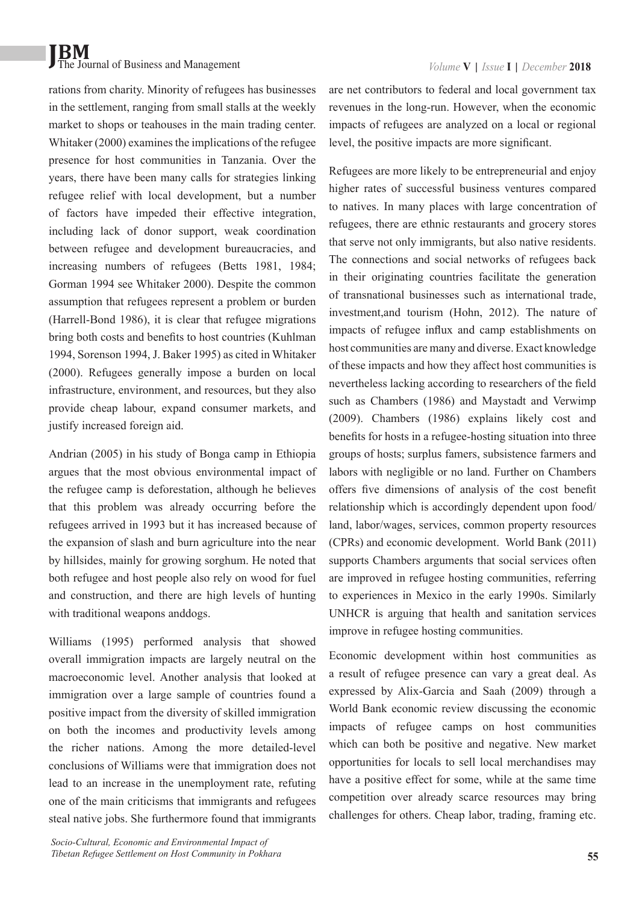rations from charity. Minority of refugees has businesses in the settlement, ranging from small stalls at the weekly market to shops or teahouses in the main trading center. Whitaker (2000) examines the implications of the refugee presence for host communities in Tanzania. Over the years, there have been many calls for strategies linking refugee relief with local development, but a number of factors have impeded their effective integration, including lack of donor support, weak coordination between refugee and development bureaucracies, and increasing numbers of refugees (Betts 1981, 1984; Gorman 1994 see Whitaker 2000). Despite the common assumption that refugees represent a problem or burden (Harrell-Bond 1986), it is clear that refugee migrations bring both costs and benefits to host countries (Kuhlman 1994, Sorenson 1994, J. Baker 1995) as cited in Whitaker (2000). Refugees generally impose a burden on local infrastructure, environment, and resources, but they also provide cheap labour, expand consumer markets, and justify increased foreign aid.

Andrian (2005) in his study of Bonga camp in Ethiopia argues that the most obvious environmental impact of the refugee camp is deforestation, although he believes that this problem was already occurring before the refugees arrived in 1993 but it has increased because of the expansion of slash and burn agriculture into the near by hillsides, mainly for growing sorghum. He noted that both refugee and host people also rely on wood for fuel and construction, and there are high levels of hunting with traditional weapons anddogs.

Williams (1995) performed analysis that showed overall immigration impacts are largely neutral on the macroeconomic level. Another analysis that looked at immigration over a large sample of countries found a positive impact from the diversity of skilled immigration on both the incomes and productivity levels among the richer nations. Among the more detailed-level conclusions of Williams were that immigration does not lead to an increase in the unemployment rate, refuting one of the main criticisms that immigrants and refugees steal native jobs. She furthermore found that immigrants are net contributors to federal and local government tax revenues in the long-run. However, when the economic impacts of refugees are analyzed on a local or regional level, the positive impacts are more significant.

Refugees are more likely to be entrepreneurial and enjoy higher rates of successful business ventures compared to natives. In many places with large concentration of refugees, there are ethnic restaurants and grocery stores that serve not only immigrants, but also native residents. The connections and social networks of refugees back in their originating countries facilitate the generation of transnational businesses such as international trade, investment,and tourism (Hohn, 2012). The nature of impacts of refugee influx and camp establishments on host communities are many and diverse. Exact knowledge of these impacts and how they affect host communities is nevertheless lacking according to researchers of the field such as Chambers (1986) and Maystadt and Verwimp (2009). Chambers (1986) explains likely cost and benefits for hosts in a refugee-hosting situation into three groups of hosts; surplus famers, subsistence farmers and labors with negligible or no land. Further on Chambers offers five dimensions of analysis of the cost benefit relationship which is accordingly dependent upon food/ land, labor/wages, services, common property resources (CPRs) and economic development. World Bank (2011) supports Chambers arguments that social services often are improved in refugee hosting communities, referring to experiences in Mexico in the early 1990s. Similarly UNHCR is arguing that health and sanitation services improve in refugee hosting communities.

Economic development within host communities as a result of refugee presence can vary a great deal. As expressed by Alix-Garcia and Saah (2009) through a World Bank economic review discussing the economic impacts of refugee camps on host communities which can both be positive and negative. New market opportunities for locals to sell local merchandises may have a positive effect for some, while at the same time competition over already scarce resources may bring challenges for others. Cheap labor, trading, framing etc.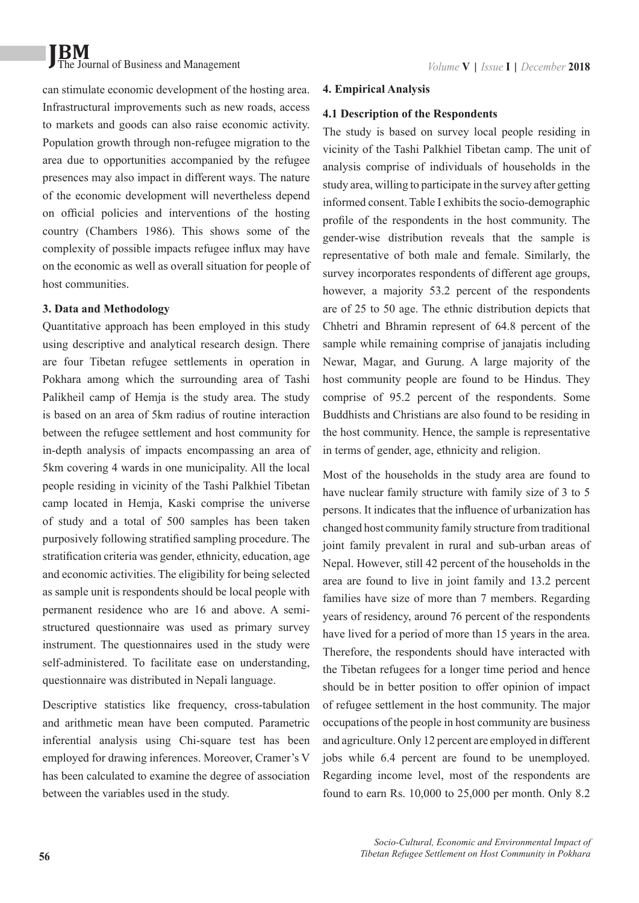can stimulate economic development of the hosting area. Infrastructural improvements such as new roads, access to markets and goods can also raise economic activity. Population growth through non-refugee migration to the area due to opportunities accompanied by the refugee presences may also impact in different ways. The nature of the economic development will nevertheless depend on official policies and interventions of the hosting country (Chambers 1986). This shows some of the complexity of possible impacts refugee influx may have on the economic as well as overall situation for people of host communities.

#### **3. Data and Methodology**

Quantitative approach has been employed in this study using descriptive and analytical research design. There are four Tibetan refugee settlements in operation in Pokhara among which the surrounding area of Tashi Palikheil camp of Hemja is the study area. The study is based on an area of 5km radius of routine interaction between the refugee settlement and host community for in-depth analysis of impacts encompassing an area of 5km covering 4 wards in one municipality. All the local people residing in vicinity of the Tashi Palkhiel Tibetan camp located in Hemja, Kaski comprise the universe of study and a total of 500 samples has been taken purposively following stratified sampling procedure. The stratification criteria was gender, ethnicity, education, age and economic activities. The eligibility for being selected as sample unit is respondents should be local people with permanent residence who are 16 and above. A semistructured questionnaire was used as primary survey instrument. The questionnaires used in the study were self-administered. To facilitate ease on understanding, questionnaire was distributed in Nepali language.

Descriptive statistics like frequency, cross-tabulation and arithmetic mean have been computed. Parametric inferential analysis using Chi-square test has been employed for drawing inferences. Moreover, Cramer's V has been calculated to examine the degree of association between the variables used in the study.

#### **4. Empirical Analysis**

#### **4.1 Description of the Respondents**

The study is based on survey local people residing in vicinity of the Tashi Palkhiel Tibetan camp. The unit of analysis comprise of individuals of households in the study area, willing to participate in the survey after getting informed consent. Table I exhibits the socio-demographic profile of the respondents in the host community. The gender-wise distribution reveals that the sample is representative of both male and female. Similarly, the survey incorporates respondents of different age groups, however, a majority 53.2 percent of the respondents are of 25 to 50 age. The ethnic distribution depicts that Chhetri and Bhramin represent of 64.8 percent of the sample while remaining comprise of janajatis including Newar, Magar, and Gurung. A large majority of the host community people are found to be Hindus. They comprise of 95.2 percent of the respondents. Some Buddhists and Christians are also found to be residing in the host community. Hence, the sample is representative in terms of gender, age, ethnicity and religion.

Most of the households in the study area are found to have nuclear family structure with family size of 3 to 5 persons. It indicates that the influence of urbanization has changed host community family structure from traditional joint family prevalent in rural and sub-urban areas of Nepal. However, still 42 percent of the households in the area are found to live in joint family and 13.2 percent families have size of more than 7 members. Regarding years of residency, around 76 percent of the respondents have lived for a period of more than 15 years in the area. Therefore, the respondents should have interacted with the Tibetan refugees for a longer time period and hence should be in better position to offer opinion of impact of refugee settlement in the host community. The major occupations of the people in host community are business and agriculture. Only 12 percent are employed in different jobs while 6.4 percent are found to be unemployed. Regarding income level, most of the respondents are found to earn Rs. 10,000 to 25,000 per month. Only 8.2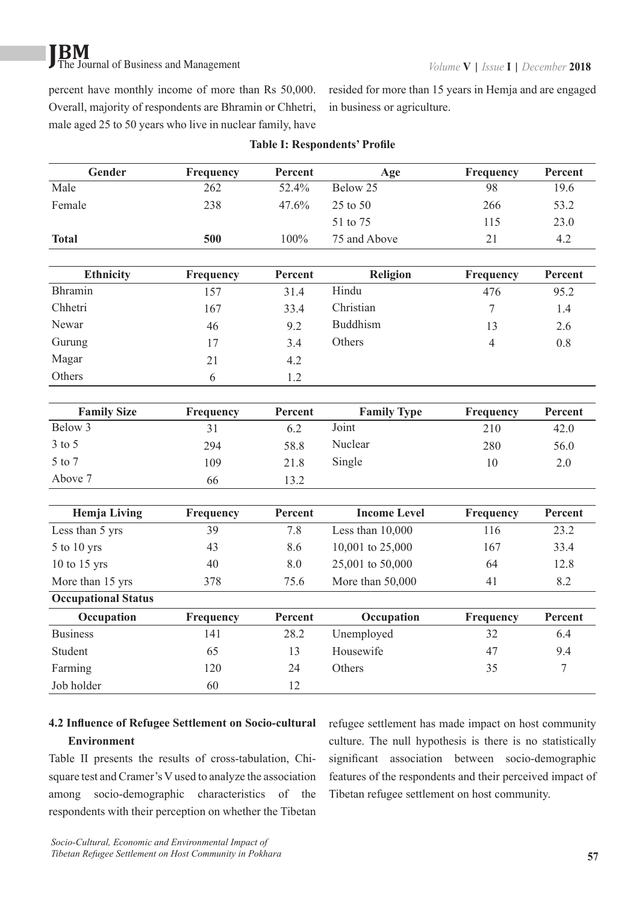percent have monthly income of more than Rs 50,000. Overall, majority of respondents are Bhramin or Chhetri, male aged 25 to 50 years who live in nuclear family, have resided for more than 15 years in Hemja and are engaged in business or agriculture.

| Gender                     | Frequency       | Percent | Age                 | Frequency      | Percent          |
|----------------------------|-----------------|---------|---------------------|----------------|------------------|
| Male                       | 262             | 52.4%   | Below 25            | 98             | 19.6             |
| Female                     | 238             | 47.6%   | 25 to 50            | 266            | 53.2             |
|                            |                 |         | 51 to 75            | 115            | 23.0             |
| <b>Total</b>               | 500             | 100%    | 75 and Above        | 21             | 4.2              |
| <b>Ethnicity</b>           | Frequency       | Percent | <b>Religion</b>     | Frequency      | Percent          |
| Bhramin                    | 157             | 31.4    | Hindu               | 476            | 95.2             |
| Chhetri                    | 167             | 33.4    | Christian           | $\overline{7}$ | 1.4              |
| Newar                      | 46              | 9.2     | <b>Buddhism</b>     | 13             | 2.6              |
| Gurung                     | 17              | 3.4     | Others              | $\overline{4}$ | 0.8              |
| Magar                      | 21              | 4.2     |                     |                |                  |
| Others                     | 6               | 1.2     |                     |                |                  |
|                            |                 |         |                     |                |                  |
| <b>Family Size</b>         | Frequency       | Percent | <b>Family Type</b>  | Frequency      | Percent          |
| Below 3                    | 31              | 6.2     | Joint               | 210            | 42.0             |
| $3$ to $5$                 | 294             | 58.8    | Nuclear             | 280            | 56.0             |
| 5 to 7                     | 109             | 21.8    | Single              | 10             | 2.0              |
| Above 7                    | 66              | 13.2    |                     |                |                  |
|                            |                 | Percent | <b>Income Level</b> |                | Percent          |
| <b>Hemja Living</b>        | Frequency<br>39 | 7.8     |                     | Frequency      | 23.2             |
| Less than 5 yrs            |                 |         | Less than $10,000$  | 116            |                  |
| 5 to 10 yrs                | 43              | 8.6     | 10,001 to 25,000    | 167            | 33.4             |
| $10$ to $15$ yrs           | 40              | 8.0     | 25,001 to 50,000    | 64             | 12.8             |
| More than 15 yrs           | 378             | 75.6    | More than 50,000    | 41             | 8.2              |
| <b>Occupational Status</b> |                 |         |                     |                |                  |
| Occupation                 | Frequency       | Percent | Occupation          | Frequency      | Percent          |
| <b>Business</b>            | 141             | 28.2    | Unemployed          | 32             | 6.4              |
| Student                    | 65              | 13      | Housewife           | 47             | 9.4              |
| Farming                    | 120             | 24      | Others              | 35             | $\boldsymbol{7}$ |
| Job holder                 | 60              | 12      |                     |                |                  |

#### **Table I: Respondents' Profile**

### **4.2 Influence of Refugee Settlement on Socio-cultural Environment**

Table II presents the results of cross-tabulation, Chisquare test and Cramer's V used to analyze the association among socio-demographic characteristics of the respondents with their perception on whether the Tibetan refugee settlement has made impact on host community culture. The null hypothesis is there is no statistically significant association between socio-demographic features of the respondents and their perceived impact of Tibetan refugee settlement on host community.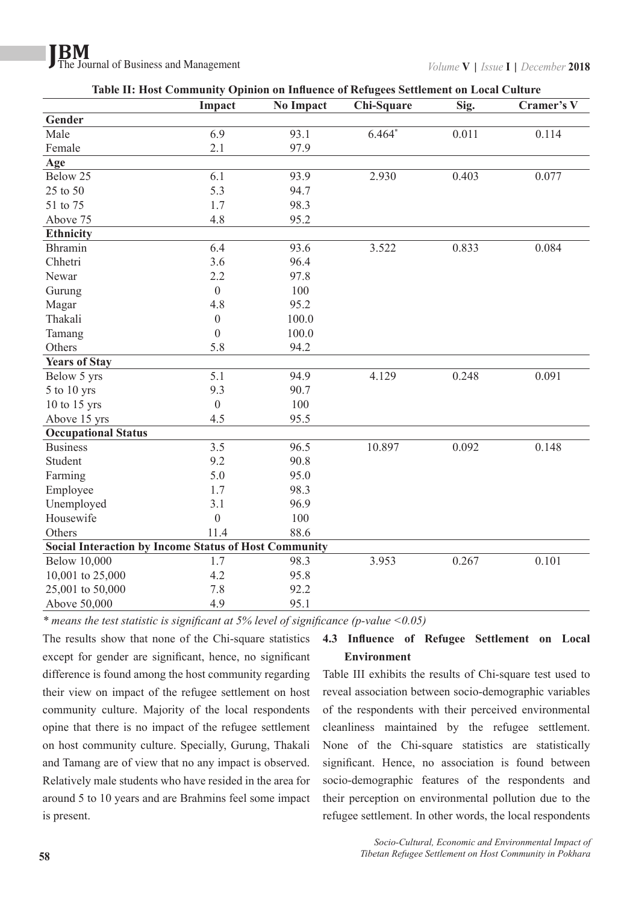|                                                              | Impact           | <b>No Impact</b> | Chi-Square | Sig.  | Cramer's V |
|--------------------------------------------------------------|------------------|------------------|------------|-------|------------|
| Gender                                                       |                  |                  |            |       |            |
| Male                                                         | 6.9              | 93.1             | $6.464*$   | 0.011 | 0.114      |
| Female                                                       | 2.1              | 97.9             |            |       |            |
| Age                                                          |                  |                  |            |       |            |
| Below 25                                                     | 6.1              | 93.9             | 2.930      | 0.403 | 0.077      |
| 25 to 50                                                     | 5.3              | 94.7             |            |       |            |
| 51 to 75                                                     | 1.7              | 98.3             |            |       |            |
| Above 75                                                     | 4.8              | 95.2             |            |       |            |
| <b>Ethnicity</b>                                             |                  |                  |            |       |            |
| <b>Bhramin</b>                                               | 6.4              | 93.6             | 3.522      | 0.833 | 0.084      |
| Chhetri                                                      | 3.6              | 96.4             |            |       |            |
| Newar                                                        | 2.2              | 97.8             |            |       |            |
| Gurung                                                       | $\overline{0}$   | 100              |            |       |            |
| Magar                                                        | 4.8              | 95.2             |            |       |            |
| Thakali                                                      | $\boldsymbol{0}$ | 100.0            |            |       |            |
| Tamang                                                       | $\mathbf{0}$     | 100.0            |            |       |            |
| Others                                                       | 5.8              | 94.2             |            |       |            |
| <b>Years of Stay</b>                                         |                  |                  |            |       |            |
| Below 5 yrs                                                  | 5.1              | 94.9             | 4.129      | 0.248 | 0.091      |
| 5 to 10 yrs                                                  | 9.3              | 90.7             |            |       |            |
| 10 to 15 yrs                                                 | $\mathbf{0}$     | 100              |            |       |            |
| Above 15 yrs                                                 | 4.5              | 95.5             |            |       |            |
| <b>Occupational Status</b>                                   |                  |                  |            |       |            |
| <b>Business</b>                                              | 3.5              | 96.5             | 10.897     | 0.092 | 0.148      |
| Student                                                      | 9.2              | 90.8             |            |       |            |
| Farming                                                      | 5.0              | 95.0             |            |       |            |
| Employee                                                     | 1.7              | 98.3             |            |       |            |
| Unemployed                                                   | 3.1              | 96.9             |            |       |            |
| Housewife                                                    | $\overline{0}$   | 100              |            |       |            |
| Others                                                       | 11.4             | 88.6             |            |       |            |
| <b>Social Interaction by Income Status of Host Community</b> |                  |                  |            |       |            |
| <b>Below 10,000</b>                                          | 1.7              | 98.3             | 3.953      | 0.267 | 0.101      |
| 10,001 to 25,000                                             | 4.2              | 95.8             |            |       |            |
| 25,001 to 50,000                                             | 7.8              | 92.2             |            |       |            |
| Above 50,000                                                 | 4.9              | 95.1             |            |       |            |

| Table II: Host Community Opinion on Influence of Refugees Settlement on Local Culture |  |  |  |  |
|---------------------------------------------------------------------------------------|--|--|--|--|
|                                                                                       |  |  |  |  |
|                                                                                       |  |  |  |  |
|                                                                                       |  |  |  |  |

*\* means the test statistic is significant at 5% level of significance (p-value <0.05)*

The results show that none of the Chi-square statistics except for gender are significant, hence, no significant difference is found among the host community regarding their view on impact of the refugee settlement on host community culture. Majority of the local respondents opine that there is no impact of the refugee settlement on host community culture. Specially, Gurung, Thakali and Tamang are of view that no any impact is observed. Relatively male students who have resided in the area for around 5 to 10 years and are Brahmins feel some impact is present.

### **4.3 Influence of Refugee Settlement on Local Environment**

Table III exhibits the results of Chi-square test used to reveal association between socio-demographic variables of the respondents with their perceived environmental cleanliness maintained by the refugee settlement. None of the Chi-square statistics are statistically significant. Hence, no association is found between socio-demographic features of the respondents and their perception on environmental pollution due to the refugee settlement. In other words, the local respondents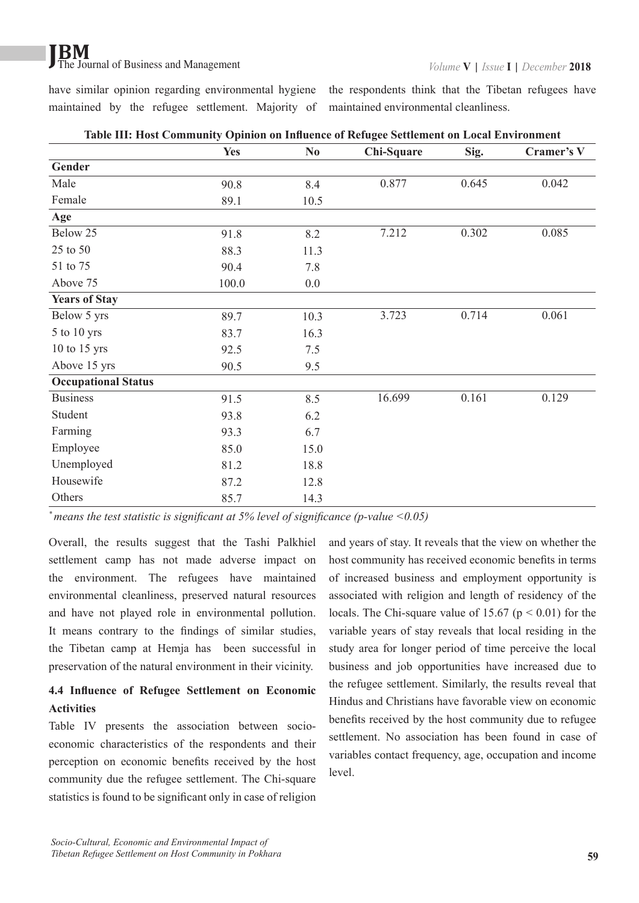have similar opinion regarding environmental hygiene the respondents think that the Tibetan refugees have maintained by the refugee settlement. Majority of maintained environmental cleanliness.

|                            | <b>Yes</b> | $\mathbf{N}\mathbf{0}$ | Chi-Square | Sig.  | Cramer's V |
|----------------------------|------------|------------------------|------------|-------|------------|
| Gender                     |            |                        |            |       |            |
| Male                       | 90.8       | 8.4                    | 0.877      | 0.645 | 0.042      |
| Female                     | 89.1       | 10.5                   |            |       |            |
| Age                        |            |                        |            |       |            |
| Below 25                   | 91.8       | 8.2                    | 7.212      | 0.302 | 0.085      |
| 25 to 50                   | 88.3       | 11.3                   |            |       |            |
| 51 to 75                   | 90.4       | 7.8                    |            |       |            |
| Above 75                   | 100.0      | 0.0                    |            |       |            |
| <b>Years of Stay</b>       |            |                        |            |       |            |
| Below 5 yrs                | 89.7       | 10.3                   | 3.723      | 0.714 | 0.061      |
| $5$ to $10$ yrs            | 83.7       | 16.3                   |            |       |            |
| $10$ to $15$ yrs           | 92.5       | 7.5                    |            |       |            |
| Above 15 yrs               | 90.5       | 9.5                    |            |       |            |
| <b>Occupational Status</b> |            |                        |            |       |            |
| <b>Business</b>            | 91.5       | 8.5                    | 16.699     | 0.161 | 0.129      |
| Student                    | 93.8       | 6.2                    |            |       |            |
| Farming                    | 93.3       | 6.7                    |            |       |            |
| Employee                   | 85.0       | 15.0                   |            |       |            |
| Unemployed                 | 81.2       | 18.8                   |            |       |            |
| Housewife                  | 87.2       | 12.8                   |            |       |            |
| Others                     | 85.7       | 14.3                   |            |       |            |

**Table III: Host Community Opinion on Influence of Refugee Settlement on Local Environment**

*\* means the test statistic is significant at 5% level of significance (p-value <0.05)*

Overall, the results suggest that the Tashi Palkhiel settlement camp has not made adverse impact on the environment. The refugees have maintained environmental cleanliness, preserved natural resources and have not played role in environmental pollution. It means contrary to the findings of similar studies, the Tibetan camp at Hemja has been successful in preservation of the natural environment in their vicinity.

#### **4.4 Influence of Refugee Settlement on Economic Activities**

Table IV presents the association between socioeconomic characteristics of the respondents and their perception on economic benefits received by the host community due the refugee settlement. The Chi-square statistics is found to be significant only in case of religion

and years of stay. It reveals that the view on whether the host community has received economic benefits in terms of increased business and employment opportunity is associated with religion and length of residency of the locals. The Chi-square value of 15.67 ( $p < 0.01$ ) for the variable years of stay reveals that local residing in the study area for longer period of time perceive the local business and job opportunities have increased due to the refugee settlement. Similarly, the results reveal that Hindus and Christians have favorable view on economic benefits received by the host community due to refugee settlement. No association has been found in case of variables contact frequency, age, occupation and income level.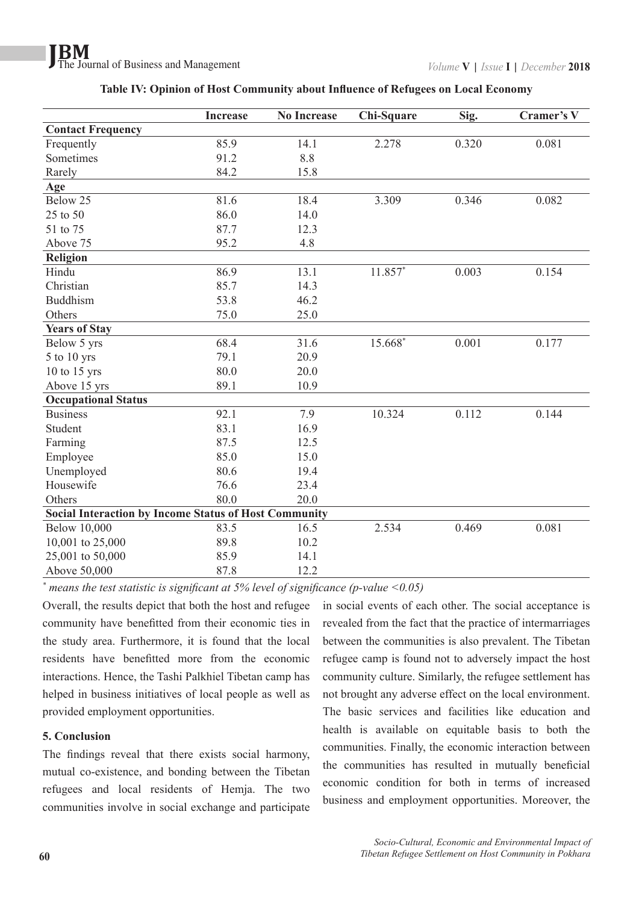|                                                              | <b>Increase</b> | <b>No Increase</b> | Chi-Square | Sig.  | Cramer's V |
|--------------------------------------------------------------|-----------------|--------------------|------------|-------|------------|
| <b>Contact Frequency</b>                                     |                 |                    |            |       |            |
| Frequently                                                   | 85.9            | 14.1               | 2.278      | 0.320 | 0.081      |
| Sometimes                                                    | 91.2            | 8.8                |            |       |            |
| Rarely                                                       | 84.2            | 15.8               |            |       |            |
| Age                                                          |                 |                    |            |       |            |
| Below 25                                                     | 81.6            | 18.4               | 3.309      | 0.346 | 0.082      |
| 25 to 50                                                     | 86.0            | 14.0               |            |       |            |
| 51 to 75                                                     | 87.7            | 12.3               |            |       |            |
| Above 75                                                     | 95.2            | 4.8                |            |       |            |
| Religion                                                     |                 |                    |            |       |            |
| Hindu                                                        | 86.9            | 13.1               | 11.857*    | 0.003 | 0.154      |
| Christian                                                    | 85.7            | 14.3               |            |       |            |
| <b>Buddhism</b>                                              | 53.8            | 46.2               |            |       |            |
| Others                                                       | 75.0            | 25.0               |            |       |            |
| <b>Years of Stay</b>                                         |                 |                    |            |       |            |
| Below 5 yrs                                                  | 68.4            | 31.6               | 15.668*    | 0.001 | 0.177      |
| 5 to 10 yrs                                                  | 79.1            | 20.9               |            |       |            |
| 10 to 15 yrs                                                 | 80.0            | 20.0               |            |       |            |
| Above 15 yrs                                                 | 89.1            | 10.9               |            |       |            |
| <b>Occupational Status</b>                                   |                 |                    |            |       |            |
| <b>Business</b>                                              | 92.1            | 7.9                | 10.324     | 0.112 | 0.144      |
| Student                                                      | 83.1            | 16.9               |            |       |            |
| Farming                                                      | 87.5            | 12.5               |            |       |            |
| Employee                                                     | 85.0            | 15.0               |            |       |            |
| Unemployed                                                   | 80.6            | 19.4               |            |       |            |
| Housewife                                                    | 76.6            | 23.4               |            |       |            |
| Others                                                       | 80.0            | 20.0               |            |       |            |
| <b>Social Interaction by Income Status of Host Community</b> |                 |                    |            |       |            |
| <b>Below 10,000</b>                                          | 83.5            | 16.5               | 2.534      | 0.469 | 0.081      |
| 10,001 to 25,000                                             | 89.8            | 10.2               |            |       |            |
| 25,001 to 50,000                                             | 85.9            | 14.1               |            |       |            |
| Above 50,000                                                 | 87.8            | 12.2               |            |       |            |

**Table IV: Opinion of Host Community about Influence of Refugees on Local Economy**

*\* means the test statistic is significant at 5% level of significance (p-value <0.05)*

Overall, the results depict that both the host and refugee community have benefitted from their economic ties in the study area. Furthermore, it is found that the local residents have benefitted more from the economic interactions. Hence, the Tashi Palkhiel Tibetan camp has helped in business initiatives of local people as well as provided employment opportunities.

#### **5. Conclusion**

The findings reveal that there exists social harmony, mutual co-existence, and bonding between the Tibetan refugees and local residents of Hemja. The two communities involve in social exchange and participate in social events of each other. The social acceptance is revealed from the fact that the practice of intermarriages between the communities is also prevalent. The Tibetan refugee camp is found not to adversely impact the host community culture. Similarly, the refugee settlement has not brought any adverse effect on the local environment. The basic services and facilities like education and health is available on equitable basis to both the communities. Finally, the economic interaction between the communities has resulted in mutually beneficial economic condition for both in terms of increased business and employment opportunities. Moreover, the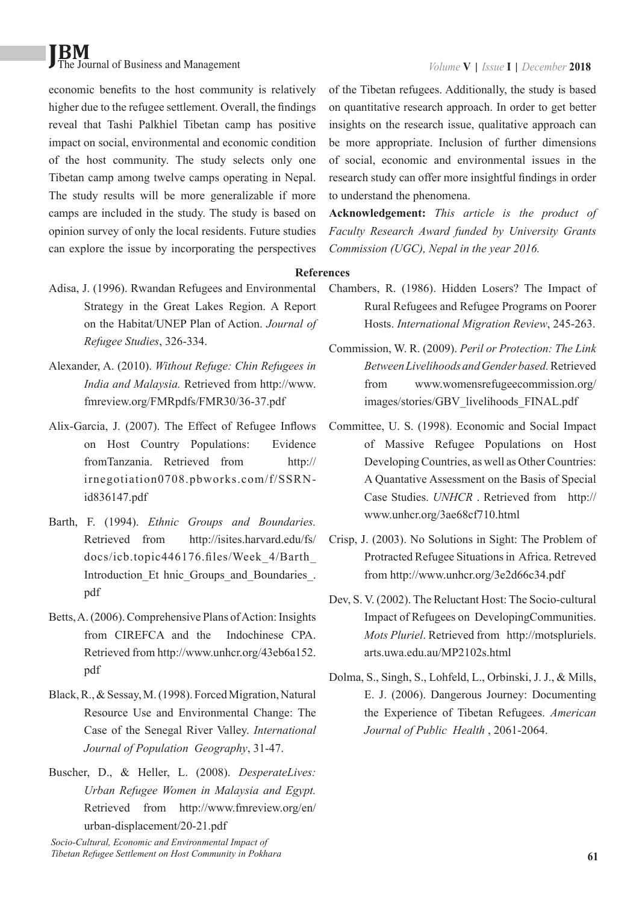economic benefits to the host community is relatively higher due to the refugee settlement. Overall, the findings reveal that Tashi Palkhiel Tibetan camp has positive impact on social, environmental and economic condition of the host community. The study selects only one Tibetan camp among twelve camps operating in Nepal. The study results will be more generalizable if more camps are included in the study. The study is based on opinion survey of only the local residents. Future studies can explore the issue by incorporating the perspectives

- Adisa, J. (1996). Rwandan Refugees and Environmental Strategy in the Great Lakes Region. A Report on the Habitat/UNEP Plan of Action. *Journal of Refugee Studies*, 326-334.
- Alexander, A. (2010). *Without Refuge: Chin Refugees in India and Malaysia.* Retrieved from http://www. fmreview.org/FMRpdfs/FMR30/36-37.pdf
- Alix-Garcia, J. (2007). The Effect of Refugee Inflows on Host Country Populations: Evidence fromTanzania. Retrieved from http:// irnegotiation0708.pbworks.com/f/SSRNid836147.pdf
- Barth, F. (1994). *Ethnic Groups and Boundaries.* Retrieved from http://isites.harvard.edu/fs/ docs/icb.topic446176.files/Week\_4/Barth\_ Introduction Et hnic Groups and Boundaries. pdf
- Betts, A. (2006). Comprehensive Plans of Action: Insights from CIREFCA and the Indochinese CPA. Retrieved from http://www.unhcr.org/43eb6a152. pdf
- Black, R., & Sessay, M. (1998). Forced Migration, Natural Resource Use and Environmental Change: The Case of the Senegal River Valley. *International Journal of Population Geography*, 31-47.
- Buscher, D., & Heller, L. (2008). *DesperateLives: Urban Refugee Women in Malaysia and Egypt.* Retrieved from http://www.fmreview.org/en/ urban-displacement/20-21.pdf

*Socio-Cultural, Economic and Environmental Impact of Tibetan Refugee Settlement on Host Community in Pokhara*

of the Tibetan refugees. Additionally, the study is based on quantitative research approach. In order to get better insights on the research issue, qualitative approach can be more appropriate. Inclusion of further dimensions of social, economic and environmental issues in the research study can offer more insightful findings in order to understand the phenomena.

**Acknowledgement:** *This article is the product of Faculty Research Award funded by University Grants Commission (UGC), Nepal in the year 2016.*

**References**

- Chambers, R. (1986). Hidden Losers? The Impact of Rural Refugees and Refugee Programs on Poorer Hosts. *International Migration Review*, 245-263.
- Commission, W. R. (2009). *Peril or Protection: The Link Between Livelihoods and Gender based.* Retrieved from www.womensrefugeecommission.org/ images/stories/GBV\_livelihoods\_FINAL.pdf
- Committee, U. S. (1998). Economic and Social Impact of Massive Refugee Populations on Host Developing Countries, as well as Other Countries: A Quantative Assessment on the Basis of Special Case Studies. *UNHCR* . Retrieved from http:// www.unhcr.org/3ae68cf710.html
- Crisp, J. (2003). No Solutions in Sight: The Problem of Protracted Refugee Situations in Africa. Retreved from http://www.unhcr.org/3e2d66c34.pdf
- Dev, S. V. (2002). The Reluctant Host: The Socio-cultural Impact of Refugees on DevelopingCommunities. *Mots Pluriel*. Retrieved from http://motspluriels. arts.uwa.edu.au/MP2102s.html
- Dolma, S., Singh, S., Lohfeld, L., Orbinski, J. J., & Mills, E. J. (2006). Dangerous Journey: Documenting the Experience of Tibetan Refugees. *American Journal of Public Health* , 2061-2064.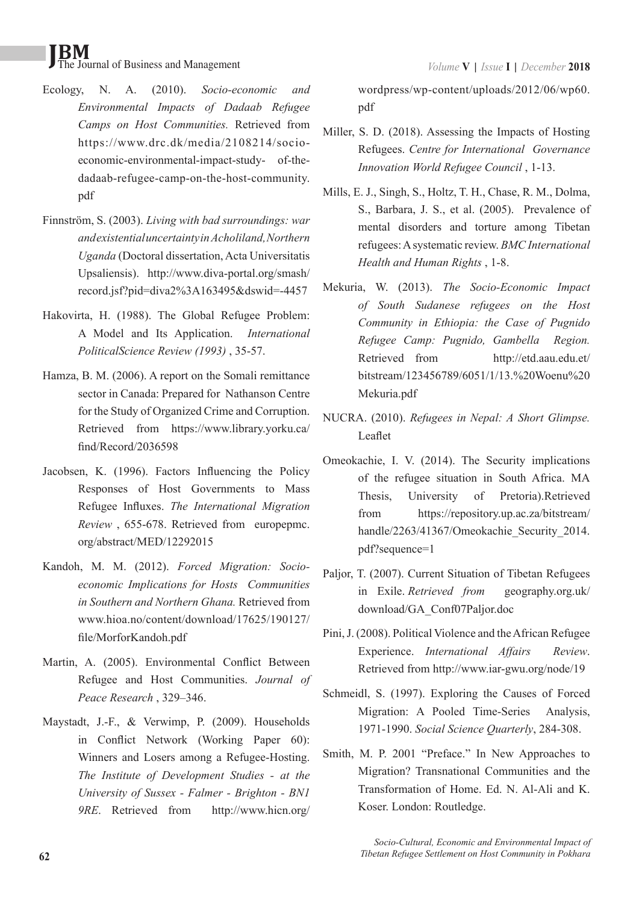- Ecology, N. A. (2010). *Socio-economic and Environmental Impacts of Dadaab Refugee Camps on Host Communities.* Retrieved from https://www.drc.dk/media/2108214/socioeconomic-environmental-impact-study- of-thedadaab-refugee-camp-on-the-host-community. pdf
- Finnström, S. (2003). *Living with bad surroundings: war and existential uncertainty in Acholiland, Northern Uganda* (Doctoral dissertation, Acta Universitatis Upsaliensis). http://www.diva-portal.org/smash/ record.jsf?pid=diva2%3A163495&dswid=-4457
- Hakovirta, H. (1988). The Global Refugee Problem: A Model and Its Application. *International PoliticalScience Review (1993)* , 35-57.
- Hamza, B. M. (2006). A report on the Somali remittance sector in Canada: Prepared for Nathanson Centre for the Study of Organized Crime and Corruption. Retrieved from https://www.library.yorku.ca/ find/Record/2036598
- Jacobsen, K. (1996). Factors Influencing the Policy Responses of Host Governments to Mass Refugee Influxes. *The International Migration Review* , 655-678. Retrieved from europepmc. org/abstract/MED/12292015
- Kandoh, M. M. (2012). *Forced Migration: Socioeconomic Implications for Hosts Communities in Southern and Northern Ghana.* Retrieved from www.hioa.no/content/download/17625/190127/ file/MorforKandoh.pdf
- Martin, A. (2005). Environmental Conflict Between Refugee and Host Communities. *Journal of Peace Research* , 329–346.
- Maystadt, J.-F., & Verwimp, P. (2009). Households in Conflict Network (Working Paper 60): Winners and Losers among a Refugee-Hosting. *The Institute of Development Studies - at the University of Sussex - Falmer - Brighton - BN1 9RE*. Retrieved from http://www.hicn.org/

wordpress/wp-content/uploads/2012/06/wp60. pdf

- Miller, S. D. (2018). Assessing the Impacts of Hosting Refugees. *Centre for International Governance Innovation World Refugee Council* , 1-13.
- Mills, E. J., Singh, S., Holtz, T. H., Chase, R. M., Dolma, S., Barbara, J. S., et al. (2005). Prevalence of mental disorders and torture among Tibetan refugees: A systematic review. *BMC International Health and Human Rights* , 1-8.
- Mekuria, W. (2013). *The Socio-Economic Impact of South Sudanese refugees on the Host Community in Ethiopia: the Case of Pugnido Refugee Camp: Pugnido, Gambella Region.* Retrieved from http://etd.aau.edu.et/ bitstream/123456789/6051/1/13.%20Woenu%20 Mekuria.pdf
- NUCRA. (2010). *Refugees in Nepal: A Short Glimpse.* Leaflet
- Omeokachie, I. V. (2014). The Security implications of the refugee situation in South Africa. MA Thesis, University of Pretoria).Retrieved from https://repository.up.ac.za/bitstream/ handle/2263/41367/Omeokachie Security 2014. pdf?sequence=1
- Paljor, T. (2007). Current Situation of Tibetan Refugees in Exile. *Retrieved from* geography.org.uk/ download/GA\_Conf07Paljor.doc
- Pini, J. (2008). Political Violence and the African Refugee Experience. *International Affairs Review*. Retrieved from http://www.iar-gwu.org/node/19
- Schmeidl, S. (1997). Exploring the Causes of Forced Migration: A Pooled Time-Series Analysis, 1971-1990. *Social Science Quarterly*, 284-308.
- Smith, M. P. 2001 "Preface." In New Approaches to Migration? Transnational Communities and the Transformation of Home. Ed. N. Al-Ali and K. Koser. London: Routledge.

*Socio-Cultural, Economic and Environmental Impact of Tibetan Refugee Settlement on Host Community in Pokhara*